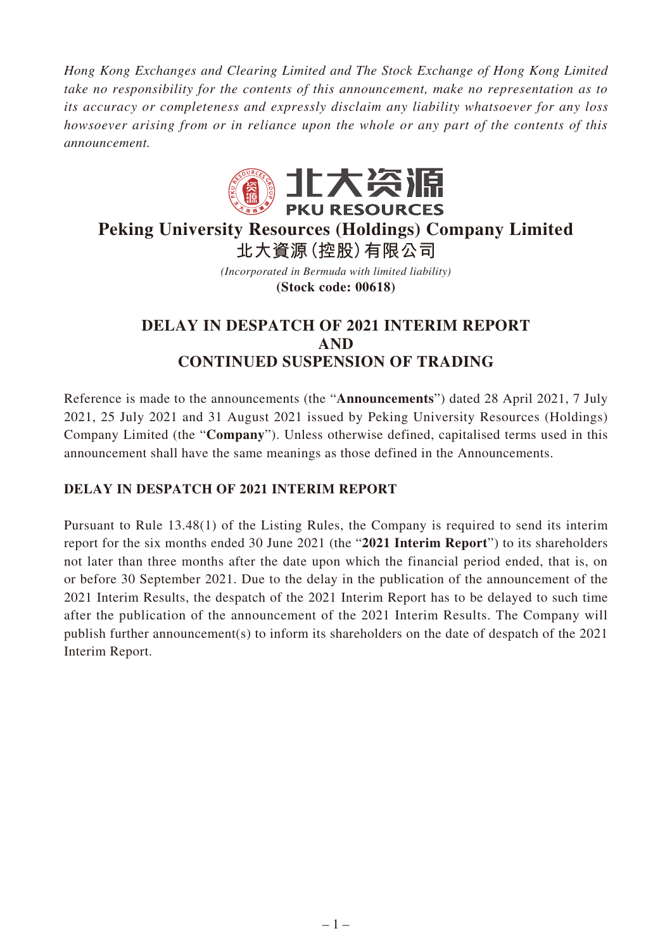*Hong Kong Exchanges and Clearing Limited and The Stock Exchange of Hong Kong Limited take no responsibility for the contents of this announcement, make no representation as to its accuracy or completeness and expressly disclaim any liability whatsoever for any loss howsoever arising from or in reliance upon the whole or any part of the contents of this announcement.*



# **Peking University Resources (Holdings) Company Limited 北大資源(控股)有限公司**

*(Incorporated in Bermuda with limited liability)* **(Stock code: 00618)**

## **DELAY IN DESPATCH OF 2021 INTERIM REPORT AND CONTINUED SUSPENSION OF TRADING**

Reference is made to the announcements (the "**Announcements**") dated 28 April 2021, 7 July 2021, 25 July 2021 and 31 August 2021 issued by Peking University Resources (Holdings) Company Limited (the "**Company**"). Unless otherwise defined, capitalised terms used in this announcement shall have the same meanings as those defined in the Announcements.

### **DELAY IN DESPATCH OF 2021 INTERIM REPORT**

Pursuant to Rule 13.48(1) of the Listing Rules, the Company is required to send its interim report for the six months ended 30 June 2021 (the "**2021 Interim Report**") to its shareholders not later than three months after the date upon which the financial period ended, that is, on or before 30 September 2021. Due to the delay in the publication of the announcement of the 2021 Interim Results, the despatch of the 2021 Interim Report has to be delayed to such time after the publication of the announcement of the 2021 Interim Results. The Company will publish further announcement(s) to inform its shareholders on the date of despatch of the 2021 Interim Report.